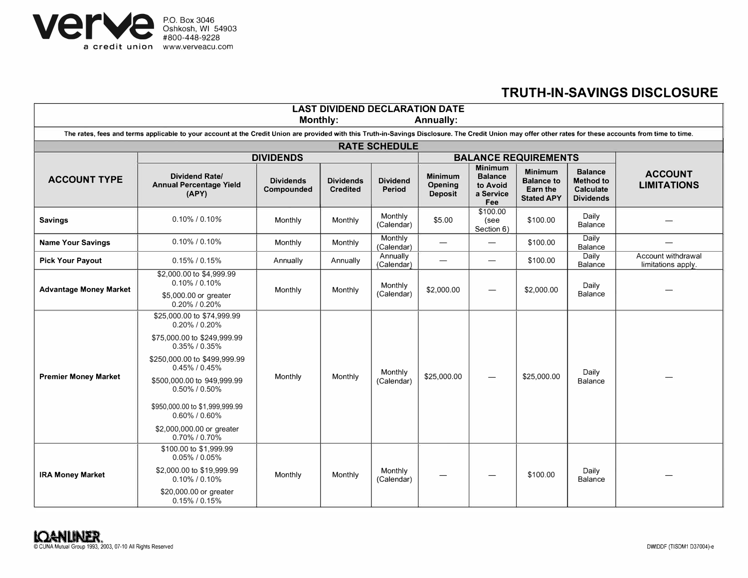

## **TRUTH-IN-SAVINGS DISCLOSURE**

| <b>LAST DIVIDEND DECLARATION DATE</b>                                                                                                                                                                                                     |                                                                                                                                                                                                                                                                                                          |                                |                                     |                           |                                             |                                                                  |                                                                      |                                                                            |                                          |
|-------------------------------------------------------------------------------------------------------------------------------------------------------------------------------------------------------------------------------------------|----------------------------------------------------------------------------------------------------------------------------------------------------------------------------------------------------------------------------------------------------------------------------------------------------------|--------------------------------|-------------------------------------|---------------------------|---------------------------------------------|------------------------------------------------------------------|----------------------------------------------------------------------|----------------------------------------------------------------------------|------------------------------------------|
| Monthly:<br><b>Annually:</b><br>The rates, fees and terms applicable to your account at the Credit Union are provided with this Truth-in-Savings Disclosure. The Credit Union may offer other rates for these accounts from time to time. |                                                                                                                                                                                                                                                                                                          |                                |                                     |                           |                                             |                                                                  |                                                                      |                                                                            |                                          |
| <b>RATE SCHEDULE</b>                                                                                                                                                                                                                      |                                                                                                                                                                                                                                                                                                          |                                |                                     |                           |                                             |                                                                  |                                                                      |                                                                            |                                          |
|                                                                                                                                                                                                                                           | <b>DIVIDENDS</b>                                                                                                                                                                                                                                                                                         |                                |                                     |                           | <b>BALANCE REQUIREMENTS</b>                 |                                                                  |                                                                      |                                                                            |                                          |
| <b>ACCOUNT TYPE</b>                                                                                                                                                                                                                       | <b>Dividend Rate/</b><br><b>Annual Percentage Yield</b><br>(APY)                                                                                                                                                                                                                                         | <b>Dividends</b><br>Compounded | <b>Dividends</b><br><b>Credited</b> | <b>Dividend</b><br>Period | <b>Minimum</b><br>Opening<br><b>Deposit</b> | <b>Minimum</b><br><b>Balance</b><br>to Avoid<br>a Service<br>Fee | <b>Minimum</b><br><b>Balance to</b><br>Earn the<br><b>Stated APY</b> | <b>Balance</b><br><b>Method to</b><br><b>Calculate</b><br><b>Dividends</b> | <b>ACCOUNT</b><br><b>LIMITATIONS</b>     |
| <b>Savings</b>                                                                                                                                                                                                                            | $0.10\%$ / 0.10%                                                                                                                                                                                                                                                                                         | Monthly                        | Monthly                             | Monthly<br>(Calendar)     | \$5.00                                      | \$100.00<br>(see<br>Section 6)                                   | \$100.00                                                             | Daily<br>Balance                                                           |                                          |
| <b>Name Your Savings</b>                                                                                                                                                                                                                  | $0.10\%$ / 0.10%                                                                                                                                                                                                                                                                                         | Monthly                        | Monthly                             | Monthly<br>(Calendar)     |                                             | $\overline{\phantom{0}}$                                         | \$100.00                                                             | Daily<br>Balance                                                           |                                          |
| <b>Pick Your Payout</b>                                                                                                                                                                                                                   | $0.15\%$ / $0.15\%$                                                                                                                                                                                                                                                                                      | Annually                       | Annually                            | Annually<br>(Calendar)    | —                                           |                                                                  | \$100.00                                                             | Daily<br>Balance                                                           | Account withdrawal<br>limitations apply. |
| <b>Advantage Money Market</b>                                                                                                                                                                                                             | \$2,000.00 to \$4,999.99<br>$0.10\%$ / 0.10%<br>\$5,000.00 or greater<br>$0.20\%$ / $0.20\%$                                                                                                                                                                                                             | Monthly                        | Monthly                             | Monthly<br>(Calendar)     | \$2,000.00                                  |                                                                  | \$2,000.00                                                           | Daily<br><b>Balance</b>                                                    |                                          |
| <b>Premier Money Market</b>                                                                                                                                                                                                               | \$25,000.00 to \$74,999.99<br>0.20% / 0.20%<br>\$75,000.00 to \$249,999.99<br>$0.35\%$ / $0.35\%$<br>\$250,000.00 to \$499,999.99<br>$0.45\%$ / $0.45\%$<br>\$500,000.00 to 949,999.99<br>0.50% / 0.50%<br>\$950,000.00 to \$1,999,999.99<br>0.60% / 0.60%<br>\$2,000,000.00 or greater<br>0.70% / 0.70% | Monthly                        | Monthly                             | Monthly<br>(Calendar)     | \$25,000.00                                 |                                                                  | \$25,000.00                                                          | Daily<br>Balance                                                           |                                          |
| <b>IRA Money Market</b>                                                                                                                                                                                                                   | \$100.00 to \$1,999.99<br>$0.05\%$ / $0.05\%$<br>\$2,000.00 to \$19,999.99<br>$0.10\%$ / 0.10%<br>\$20,000.00 or greater<br>$0.15\%$ / $0.15\%$                                                                                                                                                          | Monthly                        | Monthly                             | Monthly<br>(Calendar)     |                                             |                                                                  | \$100.00                                                             | Daily<br>Balance                                                           |                                          |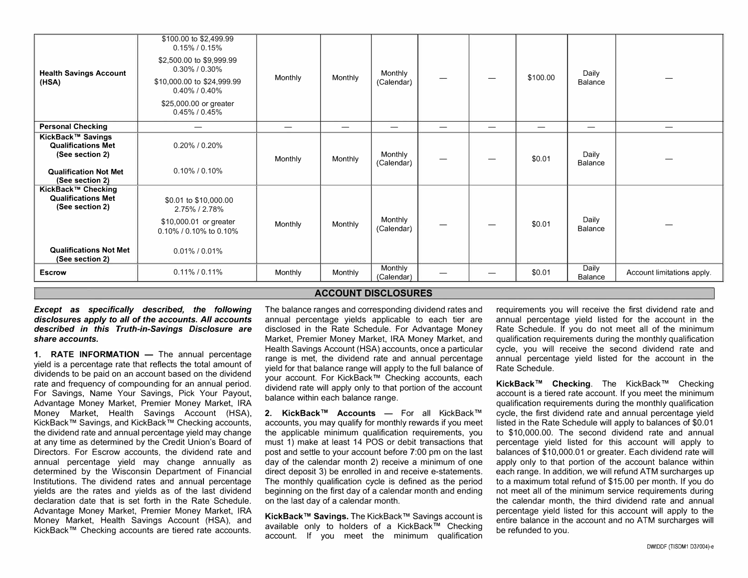| <b>Health Savings Account</b><br>(HSA)                                                                                 | \$100.00 to \$2,499.99<br>$0.15\%$ / 0.15%<br>\$2,500.00 to \$9,999.99<br>$0.30\%$ / $0.30\%$<br>\$10,000.00 to \$24,999.99<br>0.40% / 0.40%<br>\$25,000.00 or greater<br>$0.45\%$ / $0.45\%$ | Monthly | Monthly | Monthly<br>(Calendar) | —                        |                          | \$100.00 | Daily<br>Balance         |                            |
|------------------------------------------------------------------------------------------------------------------------|-----------------------------------------------------------------------------------------------------------------------------------------------------------------------------------------------|---------|---------|-----------------------|--------------------------|--------------------------|----------|--------------------------|----------------------------|
| <b>Personal Checking</b>                                                                                               |                                                                                                                                                                                               |         |         |                       | $\overline{\phantom{0}}$ | $\overline{\phantom{0}}$ |          | $\overline{\phantom{0}}$ |                            |
| KickBack™ Savings<br><b>Qualifications Met</b><br>(See section 2)<br><b>Qualification Not Met</b><br>(See section 2)   | $0.20\%$ / $0.20\%$<br>$0.10\%$ / $0.10\%$                                                                                                                                                    | Monthly | Monthly | Monthly<br>(Calendar) | —                        |                          | \$0.01   | Daily<br>Balance         |                            |
| KickBack™ Checking<br><b>Qualifications Met</b><br>(See section 2)<br><b>Qualifications Not Met</b><br>(See section 2) | \$0.01 to \$10,000.00<br>2.75% / 2.78%<br>\$10,000.01 or greater<br>0.10% / 0.10% to 0.10%<br>$0.01\%$ / $0.01\%$                                                                             | Monthly | Monthly | Monthly<br>(Calendar) |                          |                          | \$0.01   | Daily<br>Balance         |                            |
| <b>Escrow</b>                                                                                                          | $0.11\%$ / 0.11%                                                                                                                                                                              | Monthly | Monthly | Monthly<br>(Calendar) |                          |                          | \$0.01   | Daily<br>Balance         | Account limitations apply. |

## **ACCOUNT DISCLOSURES**

*Except* **as** *specifically described, the following disclosures apply to all of the accounts. All accounts described in this Truth-in-Savings Disclosure are share accounts.* 

**1. RATE INFORMATION** - The annual percentage yield is a percentage rate that reflects the total amount of dividends to be paid on an account based on the dividend rate and frequency of compounding for an annual period. For Savings, Name Your Savings, Pick Your Payout, Advantage Money Market, Premier Money Market, IRA Money Market, Health Savings Account (HSA), KickBack™ Savings, and KickBack™ Checking accounts, the dividend rate and annual percentage yield may change at any time as determined by the Credit Union's Board of Directors. For Escrow accounts, the dividend rate and annual percentage yield may change annually as determined by the Wisconsin Department of Financial Institutions. The dividend rates and annual percentage yields are the rates and yields as of the last dividend declaration date that is set forth in the Rate Schedule. Advantage Money Market, Premier Money Market, IRA Money Market, Health Savings Account (HSA), and KickBack™ Checking accounts are tiered rate accounts.

The balance ranges and corresponding dividend rates and annual percentage yields applicable to each tier are disclosed in the Rate Schedule. For Advantage Money Market, Premier Money Market, IRA Money Market, and Health Savings Account (HSA) accounts, once a particular range is met, the dividend rate and annual percentage yield for that balance range will apply to the full balance of your account. For KickBack™ Checking accounts, each dividend rate will apply only to that portion of the account balance within each balance range.

**2. KickBack™ Accounts** - For all KickBack™ accounts, you may qualify for monthly rewards if you meet the applicable minimum qualification requirements, you must 1) make at least 14 POS or debit transactions that post and settle to your account before 7:00 pm on the last day of the calendar month 2) receive a minimum of one direct deposit 3) be enrolled in and receive e-statements. The monthly qualification cycle is defined as the period beginning on the first day of a calendar month and ending on the last day of a calendar month.

**KickBack™ Savings.** The KickBack™ Savings account is available only to holders of a KickBack™ Checking account. If you meet the minimum qualification requirements you will receive the first dividend rate and annual percentage yield listed for the account in the Rate Schedule. If you do not meet all of the minimum qualification requirements during the monthly qualification cycle, you will receive the second dividend rate and annual percentage yield listed for the account in the Rate Schedule.

**KickBack™ Checking.** The KickBack™ Checking account is a tiered rate account. If you meet the minimum qualification requirements during the monthly qualification cycle, the first dividend rate and annual percentage yield listed in the Rate Schedule will apply to balances of \$0.01 to \$10,000.00. The second dividend rate and annual percentage yield listed for this account will apply to balances of \$10,000.01 or greater. Each dividend rate will apply only to that portion of the account balance within each range. In addition, we will refund ATM surcharges up to a maximum total refund of \$15.00 per month. If you do not meet all of the minimum service requirements during the calendar month, the third dividend rate and annual percentage yield listed for this account will apply to the entire balance in the account and no ATM surcharges will be refunded to you.